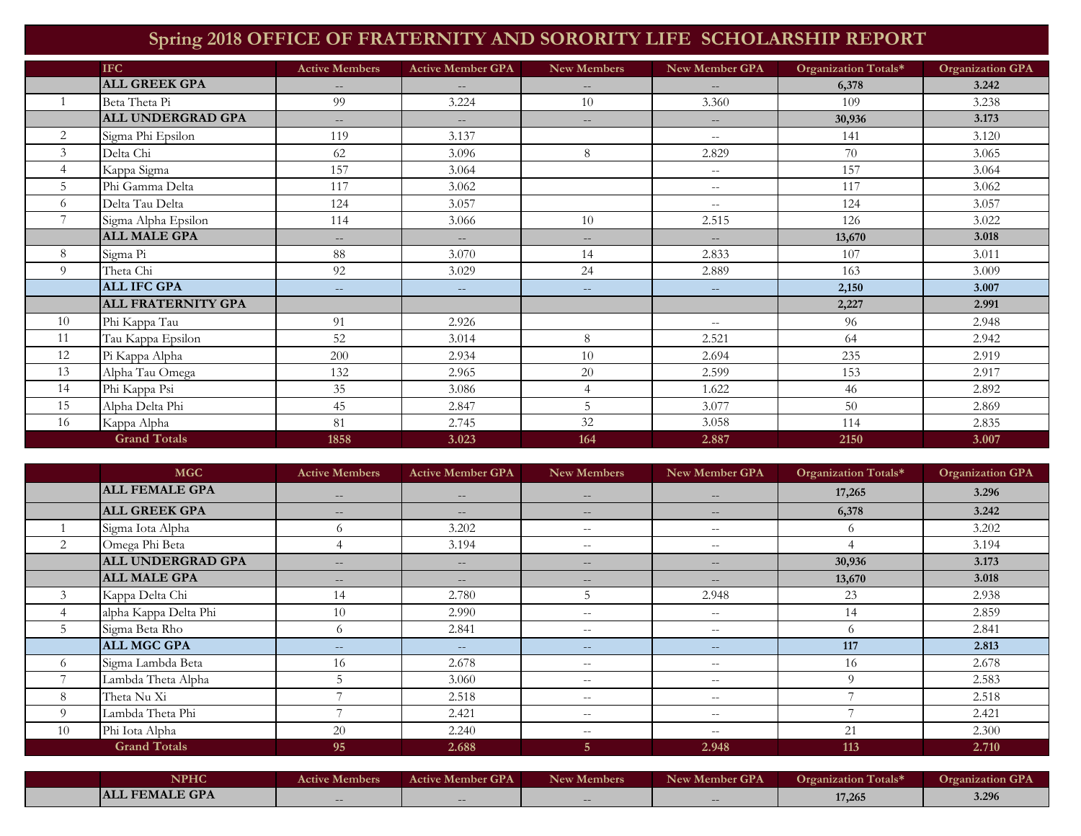## **Spring 2018 OFFICE OF FRATERNITY AND SORORITY LIFE SCHOLARSHIP REPORT**

|                | <b>IFC</b>                | <b>Active Members</b>    | <b>Active Member GPA</b> | <b>New Members</b>       | New Member GPA                                      | Organization Totals* | <b>Organization GPA</b> |
|----------------|---------------------------|--------------------------|--------------------------|--------------------------|-----------------------------------------------------|----------------------|-------------------------|
|                | <b>ALL GREEK GPA</b>      | $\qquad \qquad -$        |                          | $- -$                    | $- -$                                               | 6,378                | 3.242                   |
|                | Beta Theta Pi             | 99                       | 3.224                    | 10                       | 3.360                                               | 109                  | 3.238                   |
|                | ALL UNDERGRAD GPA         | $\overline{\phantom{a}}$ | $\sim$                   | $\overline{\phantom{a}}$ | $\overline{\phantom{a}}$                            | 30,936               | 3.173                   |
| $\overline{2}$ | Sigma Phi Epsilon         | 119                      | 3.137                    |                          | $--$                                                | 141                  | 3.120                   |
| 3              | Delta Chi                 | 62                       | 3.096                    | 8                        | 2.829                                               | 70                   | 3.065                   |
| $\overline{4}$ | Kappa Sigma               | 157                      | 3.064                    |                          | $\hspace{0.05cm} -\hspace{0.05cm} -\hspace{0.05cm}$ | 157                  | 3.064                   |
| 5              | Phi Gamma Delta           | 117                      | 3.062                    |                          | $--$                                                | 117                  | 3.062                   |
| 6              | Delta Tau Delta           | 124                      | 3.057                    |                          | $\mathord{\hspace{1pt}\text{--}\hspace{1pt}}$       | 124                  | 3.057                   |
| $\overline{ }$ | Sigma Alpha Epsilon       | 114                      | 3.066                    | 10                       | 2.515                                               | 126                  | 3.022                   |
|                | <b>ALL MALE GPA</b>       | $\qquad \qquad -$        | $---$                    | $\qquad \qquad -$        | $\mathcal{L} = \mathcal{L}$                         | 13,670               | 3.018                   |
| 8              | Sigma Pi                  | 88                       | 3.070                    | 14                       | 2.833                                               | 107                  | 3.011                   |
| 9              | Theta Chi                 | 92                       | 3.029                    | 24                       | 2.889                                               | 163                  | 3.009                   |
|                | <b>ALL IFC GPA</b>        | $\sim$ $\sim$            | $--$                     | $\qquad \qquad -$        | $--$                                                | 2,150                | 3.007                   |
|                | <b>ALL FRATERNITY GPA</b> |                          |                          |                          |                                                     | 2,227                | 2.991                   |
| 10             | Phi Kappa Tau             | 91                       | 2.926                    |                          | $\overline{\phantom{m}}$                            | 96                   | 2.948                   |
| 11             | Tau Kappa Epsilon         | 52                       | 3.014                    | 8                        | 2.521                                               | 64                   | 2.942                   |
| 12             | Pi Kappa Alpha            | 200                      | 2.934                    | 10                       | 2.694                                               | 235                  | 2.919                   |
| 13             | Alpha Tau Omega           | 132                      | 2.965                    | 20                       | 2.599                                               | 153                  | 2.917                   |
| 14             | Phi Kappa Psi             | 35                       | 3.086                    | 4                        | 1.622                                               | 46                   | 2.892                   |
| 15             | Alpha Delta Phi           | 45                       | 2.847                    | 5                        | 3.077                                               | 50                   | 2.869                   |
| 16             | Kappa Alpha               | 81                       | 2.745                    | 32                       | 3.058                                               | 114                  | 2.835                   |
|                | <b>Grand Totals</b>       | 1858                     | 3.023                    | 164                      | 2.887                                               | 2150                 | 3.007                   |

|          | <b>MGC</b>               | <b>Active Members</b> | <b>Active Member GPA</b> | <b>New Members</b> | <b>New Member GPA</b>    | Organization Totals* | <b>Organization GPA</b> |
|----------|--------------------------|-----------------------|--------------------------|--------------------|--------------------------|----------------------|-------------------------|
|          | <b>ALL FEMALE GPA</b>    | $- -$                 | $- -$                    | $- -$              | $- -$                    | 17,265               | 3.296                   |
|          | <b>ALL GREEK GPA</b>     | $\qquad \qquad -$     | $- -$                    | $- -$              | $- -$                    | 6,378                | 3.242                   |
|          | Sigma Iota Alpha         | 6                     | 3.202                    | $- -$              | $- -$                    | $\circ$              | 3.202                   |
|          | Omega Phi Beta           |                       | 3.194                    | $- -$              | $\qquad \qquad -$        |                      | 3.194                   |
|          | <b>ALL UNDERGRAD GPA</b> | $\qquad \qquad -$     | $- -$                    | $- -$              | $\qquad \qquad -$        | 30,936               | 3.173                   |
|          | <b>ALL MALE GPA</b>      | $\qquad \qquad -$     | $- -$                    | $\qquad \qquad -$  | $- -$                    | 13,670               | 3.018                   |
|          | Kappa Delta Chi          | 14                    | 2.780                    |                    | 2.948                    | 23                   | 2.938                   |
|          | alpha Kappa Delta Phi    | 10                    | 2.990                    | $- -$              | $- -$                    | 14                   | 2.859                   |
|          | Sigma Beta Rho           | $\sigma$              | 2.841                    | $- -$              | $- -$                    | 6                    | 2.841                   |
|          | <b>ALL MGC GPA</b>       | $- -$                 | $--$                     | $- -$              | $--$                     | 117                  | 2.813                   |
| $\Omega$ | Sigma Lambda Beta        | 16                    | 2.678                    | $- -$              | $- -$                    | 16                   | 2.678                   |
|          | Lambda Theta Alpha       |                       | 3.060                    | $- -$              | $- -$                    | $\Omega$             | 2.583                   |
| 8        | Theta Nu Xi              |                       | 2.518                    | $- -$              | $\qquad \qquad -$        |                      | 2.518                   |
| $\Omega$ | Lambda Theta Phi         |                       | 2.421                    | $- -$              | $- -$                    |                      | 2.421                   |
| 10       | Phi Iota Alpha           | 20                    | 2.240                    | $- -$              | $\overline{\phantom{m}}$ | 21                   | 2.300                   |
|          | <b>Grand Totals</b>      | 95                    | 2.688                    | 5.                 | 2.948                    | 113                  | 2.710                   |

| <b>NPHC</b>           | <b>Active Members</b> | <b>Active Member GPA</b> | New Members | New Member GPA           | <b>Organization Totals*</b> | <b>Organization GPA</b> |
|-----------------------|-----------------------|--------------------------|-------------|--------------------------|-----------------------------|-------------------------|
| <b>ALL FEMALE GPA</b> | $\qquad \qquad -$     | $\qquad \qquad -$        | $- -$       | $\overline{\phantom{m}}$ | 17,265                      | 3.296                   |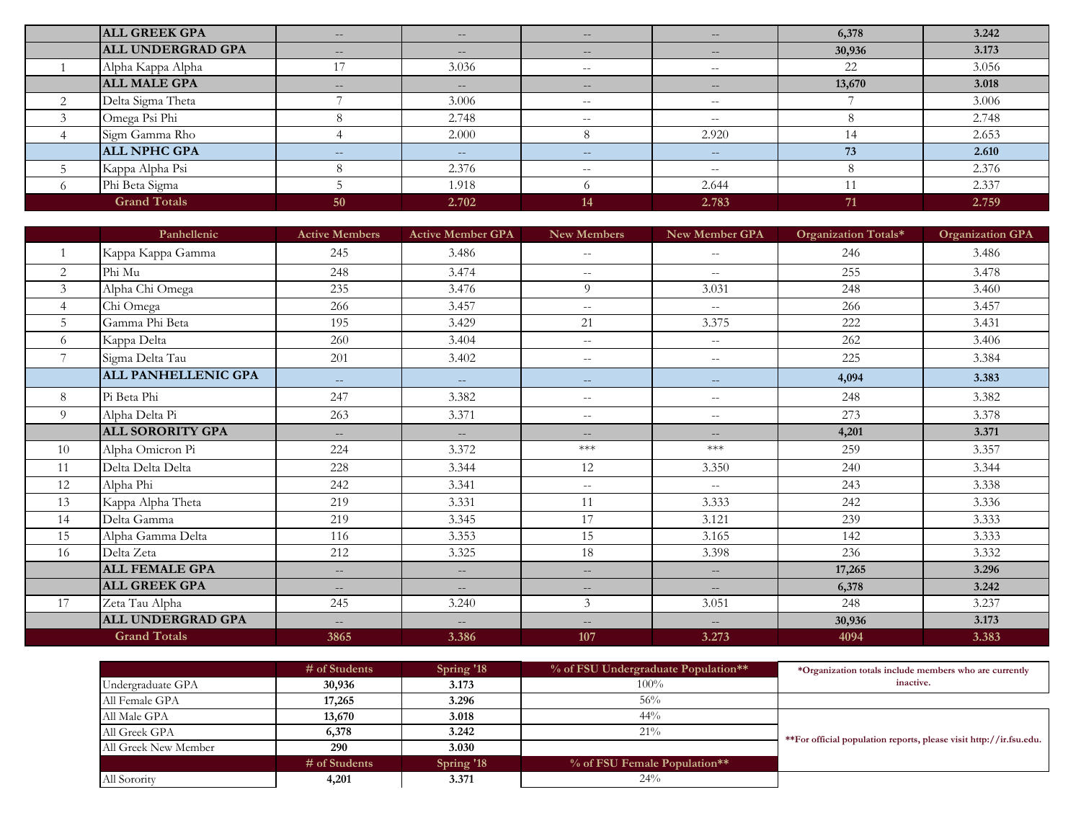| <b>ALL GREEK GPA</b>     | $- -$             | $\qquad \qquad -$ | $\qquad \qquad -$ | $\hspace{0.1mm}-\hspace{0.1mm}-\hspace{0.1mm}$ | 6,378  | 3.242 |
|--------------------------|-------------------|-------------------|-------------------|------------------------------------------------|--------|-------|
| <b>ALL UNDERGRAD GPA</b> | $\sim$ $-$        | $- -$             | $- -$             | $\overline{\phantom{m}}$                       | 30,936 | 3.173 |
| Alpha Kappa Alpha        | 17                | 3.036             | $- -$             | $- -$                                          | 22     | 3.056 |
| <b>ALL MALE GPA</b>      | $\qquad \qquad -$ | $\sim$ $-$        | $- -$             | $\hspace{0.1mm}-\hspace{0.1mm}-\hspace{0.1mm}$ | 13,670 | 3.018 |
| Delta Sigma Theta        |                   | 3.006             | $- -$             | $- -$                                          |        | 3.006 |
| Omega Psi Phi            |                   | 2.748             | $- -$             | $- -$                                          |        | 2.748 |
| Sigm Gamma Rho           |                   | 2.000             |                   | 2.920                                          | 14     | 2.653 |
| <b>ALL NPHC GPA</b>      | $\sim$ $\sim$     | $- -$             | $\sim$ $-$        | $- -$                                          | 73     | 2.610 |
| Kappa Alpha Psi          |                   | 2.376             | $- -$             | $- -$                                          |        | 2.376 |
| Phi Beta Sigma           |                   | 1.918             |                   | 2.644                                          |        | 2.337 |
| <b>Grand Totals</b>      | 50                | 2.702             | 14                | 2.783                                          | 71     | 2.759 |

|                | Panhellenic                | <b>Active Members</b>    | <b>Active Member GPA</b>  | <b>New Members</b>          | New Member GPA           | Organization Totals* | <b>Organization GPA</b> |
|----------------|----------------------------|--------------------------|---------------------------|-----------------------------|--------------------------|----------------------|-------------------------|
|                | Kappa Kappa Gamma          | 245                      | 3.486                     | $\overline{\phantom{a}}$    | $- -$                    | 246                  | 3.486                   |
| $\overline{2}$ | Phi Mu                     | 248                      | 3.474                     | $\mathcal{L} = \mathcal{L}$ | $- -$                    | 255                  | 3.478                   |
| 3              | Alpha Chi Omega            | 235                      | 3.476                     | 9                           | 3.031                    | 248                  | 3.460                   |
| $\overline{4}$ | Chi Omega                  | 266                      | 3.457                     | $--$                        | $\sim$ $\sim$            | 266                  | 3.457                   |
| 5              | Gamma Phi Beta             | 195                      | 3.429                     | 21                          | 3.375                    | 222                  | 3.431                   |
| 6              | Kappa Delta                | 260                      | 3.404                     | $\overline{\phantom{m}}$    | $\sim$ $-$               | 262                  | 3.406                   |
|                | Sigma Delta Tau            | 201                      | 3.402                     | $--$                        | $- -$                    | 225                  | 3.384                   |
|                | <b>ALL PANHELLENIC GPA</b> | $\qquad \qquad -$        | $\qquad \qquad -$         | $\overline{\phantom{m}}$    | $\qquad \qquad -$        | 4,094                | 3.383                   |
| 8              | Pi Beta Phi                | 247                      | 3.382                     | $\overline{\phantom{m}}$    | $\overline{\phantom{m}}$ | 248                  | 3.382                   |
| 9              | Alpha Delta Pi             | 263                      | 3.371                     | $- -$                       | $--$                     | 273                  | 3.378                   |
|                | <b>ALL SORORITY GPA</b>    | $\qquad \qquad -$        | $---$                     | $\qquad \qquad -$           | $\qquad \qquad -$        | 4,201                | 3.371                   |
| 10             | Alpha Omicron Pi           | 224                      | 3.372                     | $\ast\!\ast\!\ast$          | $***$                    | 259                  | 3.357                   |
| 11             | Delta Delta Delta          | 228                      | 3.344                     | 12                          | 3.350                    | 240                  | 3.344                   |
| 12             | Alpha Phi                  | 242                      | 3.341                     | $- -$                       | $\sim$ $\sim$            | 243                  | 3.338                   |
| 13             | Kappa Alpha Theta          | 219                      | 3.331                     | 11                          | 3.333                    | 242                  | 3.336                   |
| 14             | Delta Gamma                | 219                      | 3.345                     | 17                          | 3.121                    | 239                  | 3.333                   |
| 15             | Alpha Gamma Delta          | 116                      | 3.353                     | 15                          | 3.165                    | 142                  | 3.333                   |
| 16             | Delta Zeta                 | 212                      | 3.325                     | 18                          | 3.398                    | 236                  | 3.332                   |
|                | <b>ALL FEMALE GPA</b>      | $\overline{\phantom{m}}$ | $\mathbb{L}^{\mathbb{L}}$ | $\overline{\phantom{m}}$    | $-$                      | 17,265               | 3.296                   |
|                | <b>ALL GREEK GPA</b>       | $\qquad \qquad -$        | $- -$                     | $\overline{\phantom{a}}$    | $- -$                    | 6,378                | 3.242                   |
| 17             | Zeta Tau Alpha             | 245                      | 3.240                     | 3                           | 3.051                    | 248                  | 3.237                   |
|                | ALL UNDERGRAD GPA          | $\overline{\phantom{m}}$ | $\overline{\phantom{a}}$  | $\overline{\phantom{m}}$    | $\overline{\phantom{m}}$ | 30,936               | 3.173                   |
|                | <b>Grand Totals</b>        | 3865                     | 3.386                     | 107                         | 3.273                    | 4094                 | 3.383                   |

|                      | $\#$ of Students | Spring '18 | % of FSU Undergraduate Population** | *Organization totals include members who are currently             |
|----------------------|------------------|------------|-------------------------------------|--------------------------------------------------------------------|
| Undergraduate GPA    | 30,936           | 3.173      | $100\%$                             | inactive.                                                          |
| All Female GPA       | 17,265           | 3.296      | 56%                                 |                                                                    |
| All Male GPA         | 13,670           | 3.018      | $44\%$                              |                                                                    |
| All Greek GPA        | 6,378            | 3.242      | $21\%$                              | **For official population reports, please visit http://ir.fsu.edu. |
| All Greek New Member | 290              | 3.030      |                                     |                                                                    |
|                      | $\#$ of Students | Spring '18 | % of FSU Female Population**        |                                                                    |
| All Sorority         | 4,201            | 3.371      | 24%                                 |                                                                    |